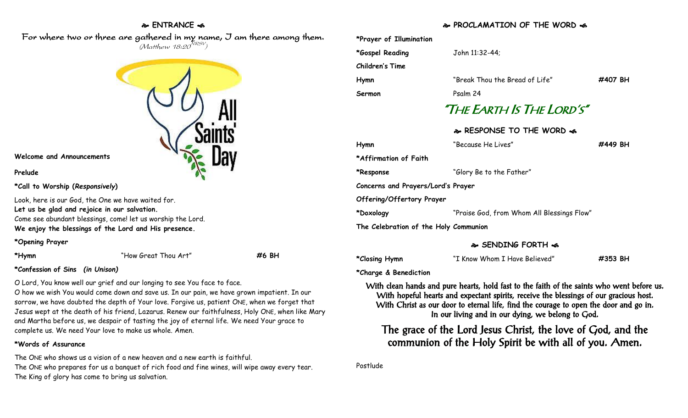## **ENTRANCE**

For where two or three are gathered in my name, I am there among them.  $(M$ atthew 18:20 $^{NRSV})$ 



#### **Welcome and Announcements**

**Prelude**

#### **\*Call to Worship (***Responsively***)**

Look, here is our God, the One we have waited for. **Let us be glad and rejoice in our salvation.** Come see abundant blessings, come! let us worship the Lord. **We enjoy the blessings of the Lord and His presence.** 

## **\*Opening Prayer**

**\*Hymn** "How Great Thou Art" **#6 BH**

**\*Confession of Sins** *(in Unison)*

O Lord, You know well our grief and our longing to see You face to face.

O how we wish You would come down and save us. In our pain, we have grown impatient. In our sorrow, we have doubted the depth of Your love. Forgive us, patient ONE, when we forget that Jesus wept at the death of his friend, Lazarus. Renew our faithfulness, Holy ONE, when like Mary and Martha before us, we despair of tasting the joy of eternal life. We need Your grace to complete us. We need Your love to make us whole. Amen.

## **\*Words of Assurance**

The ONE who shows us a vision of a new heaven and a new earth is faithful. The ONE who prepares for us a banquet of rich food and fine wines, will wipe away every tear. The King of glory has come to bring us salvation.

# **PROCLAMATION OF THE WORD**

| *Prayer of Illumination               |                                            |         |
|---------------------------------------|--------------------------------------------|---------|
| *Gospel Reading                       | John 11:32-44;                             |         |
| Children's Time                       |                                            |         |
| Hymn                                  | "Break Thou the Bread of Life"             | #407 BH |
| Sermon                                | Psalm 24                                   |         |
| "The Earth Is The Lord's"             |                                            |         |
|                                       | & RESPONSE TO THE WORD &                   |         |
| Hymn                                  | "Because He Lives"                         | #449 BH |
| *Affirmation of Faith                 |                                            |         |
| *Response                             | "Glory Be to the Father"                   |         |
| Concerns and Prayers/Lord's Prayer    |                                            |         |
| Offering/Offertory Prayer             |                                            |         |
| *Doxology                             | "Praise God, from Whom All Blessings Flow" |         |
| The Celebration of the Holy Communion |                                            |         |

## **SENDING FORTH**

**\*Closing Hymn** "I Know Whom I Have Believed" **#353 BH**

**\*Charge & Benediction**

With clean hands and pure hearts, hold fast to the faith of the saints who went before us. With hopeful hearts and expectant spirits, receive the blessings of our gracious host. With Christ as our door to eternal life, find the courage to open the door and go in. In our living and in our dying, we belong to God.

The grace of the Lord Jesus Christ, the love of God, and the communion of the Holy Spirit be with all of you. Amen.

Postlude